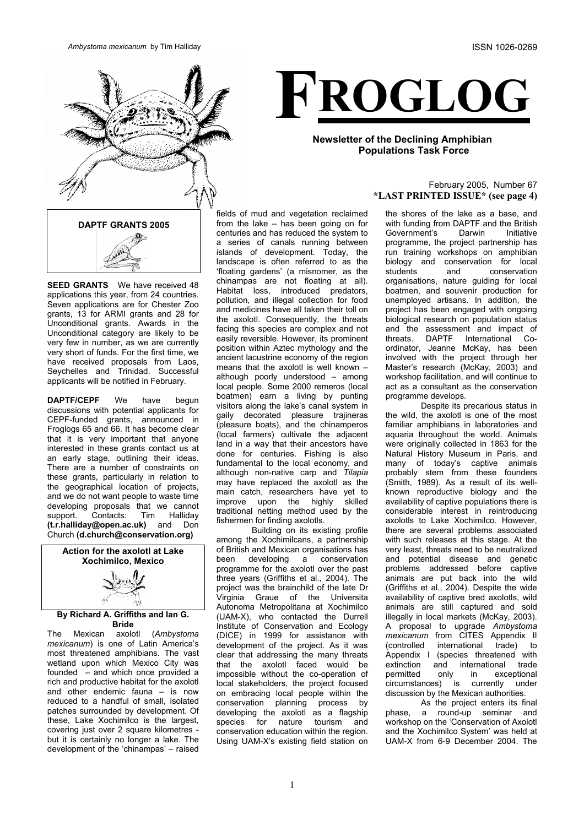

**SEED GRANTS** We have received 48 applications this year, from 24 countries. Seven applications are for Chester Zoo grants, 13 for ARMI grants and 28 for Unconditional grants. Awards in the Unconditional category are likely to be very few in number, as we are currently very short of funds. For the first time, we have received proposals from Laos, Seychelles and Trinidad. Successful applicants will be notified in February.

**DAPTF/CEPF** We have begun discussions with potential applicants for CEPF-funded grants, announced in Froglogs 65 and 66. It has become clear that it is very important that anyone interested in these grants contact us at an early stage, outlining their ideas. There are a number of constraints on these grants, particularly in relation to the geographical location of projects, and we do not want people to waste time developing proposals that we cannot support. Contacts: Tim Halliday **(t.r.halliday@open.ac.uk)** and Don Church **(d.church@conservation.org)**





### **By Richard A. Griffiths and Ian G. Bride**

The Mexican axolotl (*Ambystoma mexicanum*) is one of Latin America's most threatened amphibians. The vast wetland upon which Mexico City was founded – and which once provided a rich and productive habitat for the axolotl and other endemic fauna – is now reduced to a handful of small, isolated patches surrounded by development. Of these, Lake Xochimilco is the largest, covering just over 2 square kilometres but it is certainly no longer a lake. The development of the 'chinampas' – raised



## **Newsletter of the Declining Amphibian Populations Task Force**

### February 2005, Number 67 **\*LAST PRINTED ISSUE\* (see page 4)**

fields of mud and vegetation reclaimed from the lake – has been going on for centuries and has reduced the system to a series of canals running between islands of development. Today, the landscape is often referred to as the 'floating gardens' (a misnomer, as the chinampas are not floating at all). Habitat loss, introduced predators, pollution, and illegal collection for food and medicines have all taken their toll on the axolotl. Consequently, the threats facing this species are complex and not easily reversible. However, its prominent position within Aztec mythology and the ancient lacustrine economy of the region means that the axolotl is well known – although poorly understood – among local people. Some 2000 remeros (local boatmen) earn a living by punting visitors along the lake's canal system in gaily decorated pleasure trajineras (pleasure boats), and the chinamperos (local farmers) cultivate the adjacent land in a way that their ancestors have done for centuries. Fishing is also fundamental to the local economy, and although non-native carp and *Tilapia* may have replaced the axolotl as the main catch, researchers have yet to improve upon the highly skilled traditional netting method used by the fishermen for finding axolotls.

Building on its existing profile among the Xochimilcans, a partnership of British and Mexican organisations has been developing a conservation programme for the axolotl over the past three years (Griffiths et al., 2004). The project was the brainchild of the late Dr Virginia Graue of the Universita Autonoma Metropolitana at Xochimilco (UAM-X), who contacted the Durrell Institute of Conservation and Ecology (DICE) in 1999 for assistance with development of the project. As it was clear that addressing the many threats that the axolotl faced would be impossible without the co-operation of local stakeholders, the project focused on embracing local people within the conservation planning process by developing the axolotl as a flagship species for nature tourism and conservation education within the region. Using UAM-X's existing field station on

the shores of the lake as a base, and with funding from DAPTF and the British Government's Darwin Initiative programme, the project partnership has run training workshops on amphibian biology and conservation for local students and conservation organisations, nature guiding for local boatmen, and souvenir production for unemployed artisans. In addition, the project has been engaged with ongoing biological research on population status and the assessment and impact of<br>threats. DAPTF International Cothreats. DAPTF International Coordinator, Jeanne McKay, has been involved with the project through her Master's research (McKay, 2003) and workshop facilitation, and will continue to act as a consultant as the conservation programme develops.

Despite its precarious status in the wild, the axolotl is one of the most familiar amphibians in laboratories and aquaria throughout the world. Animals were originally collected in 1863 for the Natural History Museum in Paris, and many of today's captive animals probably stem from these founders (Smith, 1989). As a result of its wellknown reproductive biology and the availability of captive populations there is considerable interest in reintroducing axolotls to Lake Xochimilco. However, there are several problems associated with such releases at this stage. At the very least, threats need to be neutralized and potential disease and genetic problems addressed before captive animals are put back into the wild (Griffiths et al., 2004). Despite the wide availability of captive bred axolotls, wild animals are still captured and sold illegally in local markets (McKay, 2003). A proposal to upgrade *Ambystoma mexicanum* from CITES Appendix II (controlled international trade) to Appendix I (species threatened with extinction and international trade permitted only in exceptional circumstances) is currently under discussion by the Mexican authorities.

As the project enters its final phase, a round-up seminar and workshop on the 'Conservation of Axolotl and the Xochimilco System' was held at UAM-X from 6-9 December 2004. The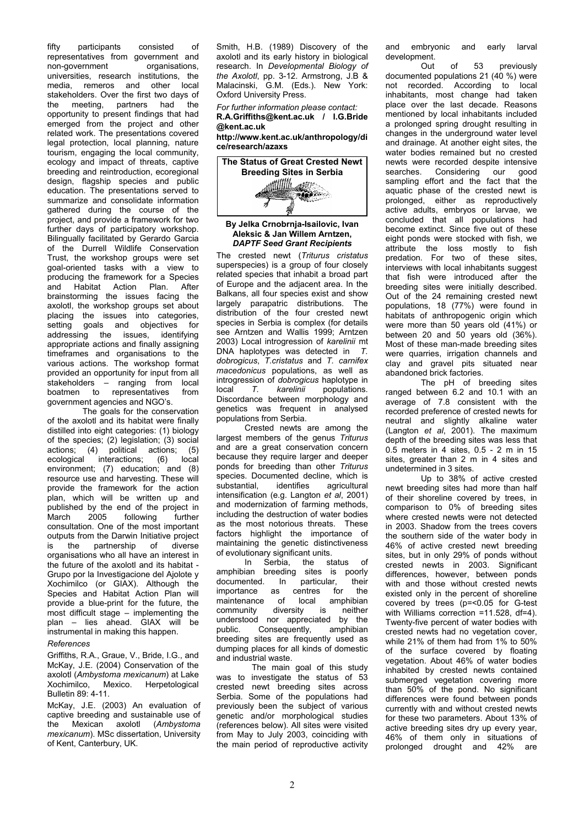fifty participants consisted of representatives from government and non-government organisations, universities, research institutions, the media, remeros and other local stakeholders. Over the first two days of the meeting, partners had the opportunity to present findings that had emerged from the project and other related work. The presentations covered legal protection, local planning, nature tourism, engaging the local community, ecology and impact of threats, captive breeding and reintroduction, ecoregional design, flagship species and public education. The presentations served to summarize and consolidate information gathered during the course of the project, and provide a framework for two further days of participatory workshop. Bilingually facilitated by Gerardo Garcia of the Durrell Wildlife Conservation Trust, the workshop groups were set goal-oriented tasks with a view to producing the framework for a Species and Habitat Action Plan. After brainstorming the issues facing the axolotl, the workshop groups set about placing the issues into categories, setting goals and objectives for addressing the issues, identifying appropriate actions and finally assigning timeframes and organisations to the various actions. The workshop format provided an opportunity for input from all stakeholders – ranging from local<br>boatmen to representatives from boatmen to representatives government agencies and NGO's.

The goals for the conservation of the axolotl and its habitat were finally distilled into eight categories: (1) biology of the species; (2) legislation; (3) social actions; (4) political actions; (5) ecological interactions; (6) local environment; (7) education; and (8) resource use and harvesting. These will provide the framework for the action plan, which will be written up and published by the end of the project in March 2005 following further consultation. One of the most important outputs from the Darwin Initiative project is the partnership of diverse organisations who all have an interest in the future of the axolotl and its habitat - Grupo por la Investigacione del Ajolote y Xochimilco (or GIAX). Although the Species and Habitat Action Plan will provide a blue-print for the future, the most difficult stage – implementing the plan – lies ahead. GIAX will be instrumental in making this happen.

#### *References*

Griffiths, R.A., Graue, V., Bride, I.G., and McKay, J.E. (2004) Conservation of the axolotl (*Ambystoma mexicanum*) at Lake Mexico. Herpetological Bulletin 89: 4-11.

McKay, J.E. (2003) An evaluation of captive breeding and sustainable use of the Mexican axolotl (*Ambystoma mexicanum*). MSc dissertation, University of Kent, Canterbury, UK.

Smith, H.B. (1989) Discovery of the axolotl and its early history in biological research. In *Developmental Biology of the Axolotl*, pp. 3-12. Armstrong, J.B & Malacinski, G.M. (Eds.). New York: Oxford University Press.

*For further information please contact:*  **R.A.Griffiths@kent.ac.uk / I.G.Bride @kent.ac.uk** 

**http://www.kent.ac.uk/anthropology/di ce/research/azaxs** 



#### **By Jelka Crnobrnja-Isailovic, Ivan Aleksic & Jan Willem Arntzen,**  *DAPTF Seed Grant Recipients*

The crested newt (*Triturus cristatus* superspecies) is a group of four closely related species that inhabit a broad part of Europe and the adjacent area. In the Balkans, all four species exist and show largely parapatric distributions. The distribution of the four crested newt species in Serbia is complex (for details see Arntzen and Wallis 1999; Arntzen 2003) Local introgression of *karelinii* mt DNA haplotypes was detected in *T. dobrogicus*, *T.cristatus* and *T. carnifex macedonicus* populations, as well as introgression of *dobrogicus* haplotype in local *T. karelinii* populations. Discordance between morphology and genetics was frequent in analysed populations from Serbia.

Crested newts are among the largest members of the genus *Triturus* and are a great conservation concern because they require larger and deeper ponds for breeding than other *Triturus* species. Documented decline, which is<br>substantial. identifies agricultural substantial, identifies agricultural intensification (e.g. Langton *et al*, 2001) and modernization of farming methods, including the destruction of water bodies as the most notorious threats. These factors highlight the importance of maintaining the genetic distinctiveness

of evolutionary significant units.<br>In Serbia. the st Serbia, the status of amphibian breeding sites is poorly documented. In particular, their importance as centres for the maintenance of local amphibian community diversity is neither understood nor appreciated by the public. Consequently, amphibian breeding sites are frequently used as dumping places for all kinds of domestic and industrial waste.

The main goal of this study was to investigate the status of 53 crested newt breeding sites across Serbia. Some of the populations had previously been the subject of various genetic and/or morphological studies (references below). All sites were visited from May to July 2003, coinciding with the main period of reproductive activity and embryonic and early larval development.

Out of 53 previously documented populations 21 (40 %) were not recorded. According to local inhabitants, most change had taken place over the last decade. Reasons mentioned by local inhabitants included a prolonged spring drought resulting in changes in the underground water level and drainage. At another eight sites, the water bodies remained but no crested newts were recorded despite intensive<br>searches Considering our good Considering our good sampling effort and the fact that the aquatic phase of the crested newt is prolonged, either as reproductively active adults, embryos or larvae, we concluded that all populations had become extinct. Since five out of these eight ponds were stocked with fish, we attribute the loss mostly to fish predation*.* For two of these sites, interviews with local inhabitants suggest that fish were introduced after the breeding sites were initially described. Out of the 24 remaining crested newt populations, 18 (77%) were found in habitats of anthropogenic origin which were more than 50 years old (41%) or between 20 and 50 years old (36%). Most of these man-made breeding sites were quarries, irrigation channels and clay and gravel pits situated near abandoned brick factories.

The pH of breeding sites ranged between 6.2 and 10.1 with an average of 7.8 consistent with the recorded preference of crested newts for neutral and slightly alkaline water (Langton *et al*, 2001). The maximum depth of the breeding sites was less that 0.5 meters in 4 sites, 0.5 - 2 m in 15 sites, greater than 2 m in 4 sites and undetermined in 3 sites.

Up to 38% of active crested newt breeding sites had more than half of their shoreline covered by trees, in comparison to 0% of breeding sites where crested newts were not detected in 2003. Shadow from the trees covers the southern side of the water body in 46% of active crested newt breeding sites, but in only 29% of ponds without crested newts in 2003. Significant differences, however, between ponds with and those without crested newts existed only in the percent of shoreline covered by trees (p=<0.05 for G-test with Williams correction =11.528, df=4). Twenty-five percent of water bodies with crested newts had no vegetation cover, while 21% of them had from 1% to 50% of the surface covered by floating vegetation. About 46% of water bodies inhabited by crested newts contained submerged vegetation covering more than 50% of the pond. No significant differences were found between ponds currently with and without crested newts for these two parameters. About 13% of active breeding sites dry up every year, 46% of them only in situations of prolonged drought and 42% are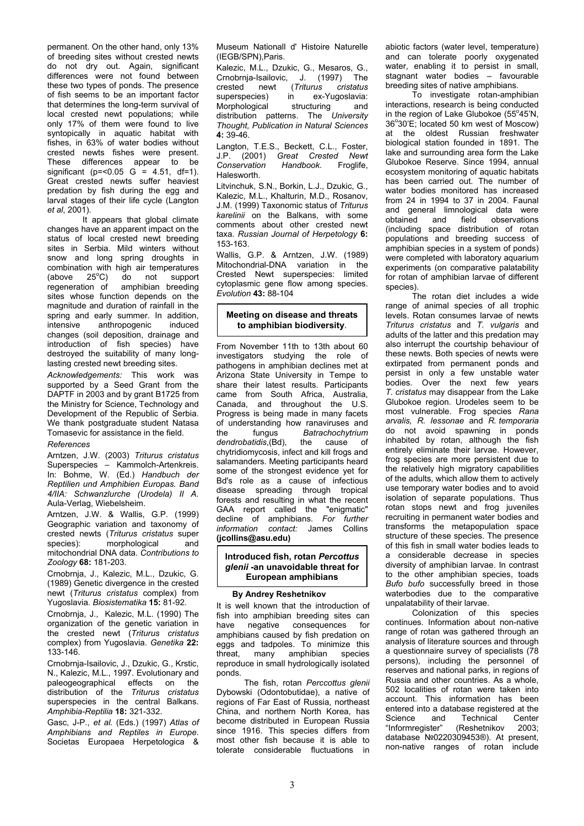permanent. On the other hand, only 13% of breeding sites without crested newts do not dry out. Again, significant differences were not found between these two types of ponds. The presence of fish seems to be an important factor that determines the long-term survival of local crested newt populations; while only 17% of them were found to live syntopically in aquatic habitat with fishes, in 63% of water bodies without crested newts fishes were present. These differences appear to be significant ( $p = 0.05$  G = 4.51, df=1). Great crested newts suffer heaviest predation by fish during the egg and larval stages of their life cycle (Langton *et al*, 2001).

It appears that global climate changes have an apparent impact on the status of local crested newt breeding sites in Serbia. Mild winters without snow and long spring droughts in combination with high air temperatures  $(above 25°C)$ C) do not support regeneration of amphibian breeding sites whose function depends on the magnitude and duration of rainfall in the spring and early summer. In addition, intensive anthropogenic induced changes (soil deposition, drainage and introduction of fish species) have destroyed the suitability of many longlasting crested newt breeding sites.

*Acknowledgements:* This work was supported by a Seed Grant from the DAPTF in 2003 and by grant B1725 from the Ministry for Science, Technology and Development of the Republic of Serbia. We thank postgraduate student Natasa Tomasevic for assistance in the field.

#### *References*

Arntzen, J.W. (2003) *Triturus cristatus* Superspecies – Kammolch-Artenkreis. In: Bohme, W. (Ed.) *Handbuch der Reptilien und Amphibien Europas. Band 4/IIA: Schwanzlurche (Urodela) II A.* Aula-Verlag, Wiebelsheim.

Arntzen, J.W. & Wallis, G.P. (1999) Geographic variation and taxonomy of crested newts (*Triturus cristatus* super species): morphological and mitochondrial DNA data. *Contributions to Zoology* **68:** 181-203.

Crnobrnja, J., Kalezic, M.L., Dzukic, G. (1989) Genetic divergence in the crested newt (*Triturus cristatus* complex) from Yugoslavia. *Biosistematika* **15:** 81-92.

Crnobrnja, J., Kalezic, M.L. (1990) The organization of the genetic variation in the crested newt (*Triturus cristatus* complex) from Yugoslavia. *Genetika* **22:** 133-146.

Crnobrnja-Isailovic, J., Dzukic, G., Krstic, N., Kalezic, M.L., 1997. Evolutionary and paleogeographical effects on the distribution of the *Triturus cristatus* superspecies in the central Balkans. *Amphibia-Reptilia* **18:** 321-332.

Gasc, J-P., *et al.* (Eds.) (1997) *Atlas of Amphibians and Reptiles in Europe*. Societas Europaea Herpetologica &

Museum Nationall d' Histoire Naturelle (IEGB/SPN),Paris.

Kalezic, M.L., Dzukic, G., Mesaros, G., Crnobrnja-Isailovic, J. (1997) The<br>crested newt (Triturus cristatus crested newt (*Triturus cristatus* superspecies) in ex-Yugoslavia:<br>Morphological structuring and Morphological structuring and distribution patterns. The *University Thought, Publication in Natural Sciences* **4:** 39-46.

Langton, T.E.S., Beckett, C.L., Foster, J.P. (2001) *Great Crested Newt Conservation* Halesworth.

Litvinchuk, S.N., Borkin, L.J., Dzukic, G., Kalezic, M.L., Khalturin, M.D., Rosanov, J.M. (1999) Taxonomic status of *Triturus karelinii* on the Balkans, with some comments about other crested newt taxa. *Russian Journal of Herpetology* **6:** 153-163.

Wallis, G.P. & Arntzen, J.W. (1989) Mitochondrial-DNA variation in the Crested Newt superspecies: limited cytoplasmic gene flow among species. *Evolution* **43:** 88-104

### **Meeting on disease and threats to amphibian biodiversity**.

From November 11th to 13th about 60 investigators studying the role of pathogens in amphibian declines met at Arizona State University in Tempe to share their latest results. Participants came from South Africa, Australia, Canada, and throughout the U.S. Progress is being made in many facets of understanding how ranaviruses and the fungus *Batrachochytrium dendrobatidis*,(Bd), the cause of chytridiomycosis, infect and kill frogs and salamanders. Meeting participants heard some of the strongest evidence yet for Bd's role as a cause of infectious disease spreading through tropical forests and resulting in what the recent GAA report called the "enigmatic" decline of amphibians. *For further information contact:* James Collins **(jcollins@asu.edu)**

### **Introduced fish, rotan** *Percottus glenii* **-an unavoidable threat for European amphibians**

#### **By Andrey Reshetnikov**

It is well known that the introduction of fish into amphibian breeding sites can have negative consequences for amphibians caused by fish predation on eggs and tadpoles. To minimize this threat, many amphibian species reproduce in small hydrologically isolated ponds.

The fish, rotan *Perccottus glenii*  Dybowski (Odontobutidae), a native of regions of Far East of Russia, northeast China, and northern North Korea, has become distributed in European Russia since 1916. This species differs from most other fish because it is able to tolerate considerable fluctuations in

abiotic factors (water level, temperature) and can tolerate poorly oxygenated water, enabling it to persist in small, stagnant water bodies – favourable breeding sites of native amphibians.

To investigate rotan-amphibian interactions, research is being conducted in the region of Lake Glubokoe (55°45'N, 36°30'E; located 50 km west of Moscow) at the oldest Russian freshwater biological station founded in 1891. The lake and surrounding area form the Lake Glubokoe Reserve. Since 1994, annual ecosystem monitoring of aquatic habitats has been carried out. The number of water bodies monitored has increased from 24 in 1994 to 37 in 2004. Faunal and general limnological data were obtained and field observations (including space distribution of rotan populations and breeding success of amphibian species in a system of ponds) were completed with laboratory aquarium experiments (on comparative palatability for rotan of amphibian larvae of different species).

The rotan diet includes a wide range of animal species of all trophic levels. Rotan consumes larvae of newts *Triturus cristatus* and *T. vulgaris* and adults of the latter and this predation may also interrupt the courtship behaviour of these newts. Both species of newts were extirpated from permanent ponds and persist in only a few unstable water bodies. Over the next few years *T. cristatus* may disappear from the Lake Glubokoe region. Urodeles seem to be most vulnerable. Frog species *Rana arvalis, R. lessonae* and *R. temporaria* do not avoid spawning in ponds inhabited by rotan, although the fish entirely eliminate their larvae. However, frog species are more persistent due to the relatively high migratory capabilities of the adults, which allow them to actively use temporary water bodies and to avoid isolation of separate populations. Thus rotan stops newt and frog juveniles recruiting in permanent water bodies and transforms the metapopulation space structure of these species. The presence of this fish in small water bodies leads to a considerable decrease in species diversity of amphibian larvae. In contrast to the other amphibian species, toads *Bufo bufo* successfully breed in those waterbodies due to the comparative unpalatability of their larvae.

Colonization of this species continues. Information about non-native range of rotan was gathered through an analysis of literature sources and through a questionnaire survey of specialists (78 persons), including the personnel of reserves and national parks, in regions of Russia and other countries. As a whole, 502 localities of rotan were taken into account. This information has been entered into a database registered at the Science and Technical Center "Informregister" (Reshetnikov 2003; database №0220309453®). At present, non-native ranges of rotan include